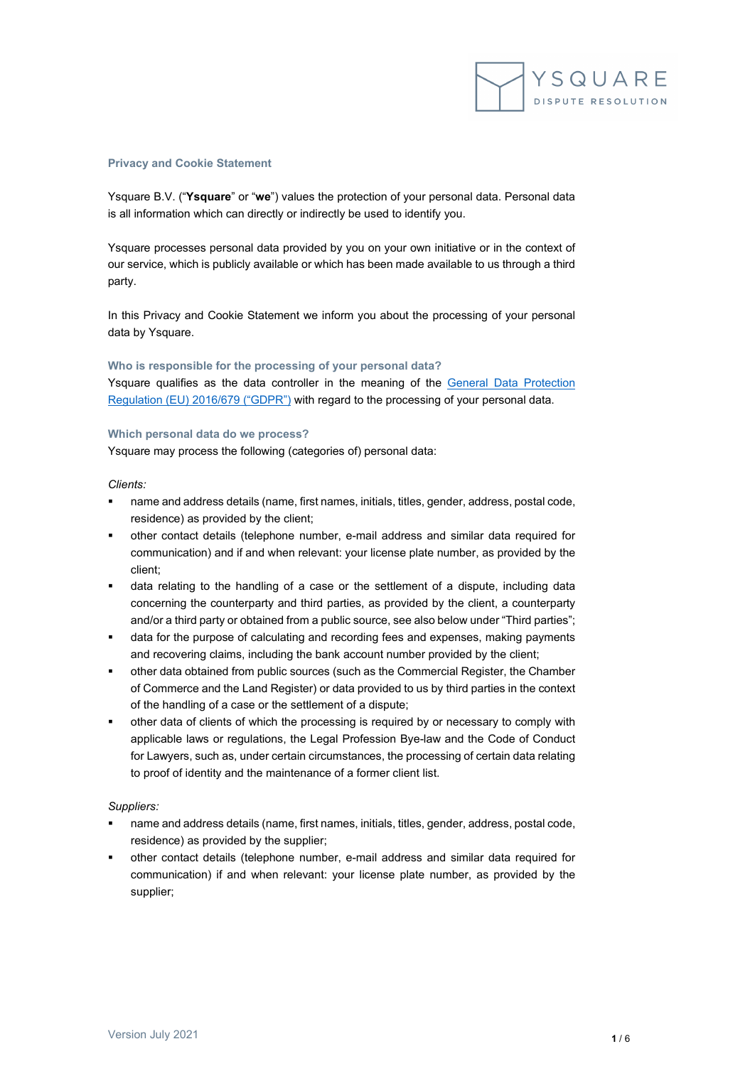

#### **Privacy and Cookie Statement**

Ysquare B.V. ("**Ysquare**" or "**we**") values the protection of your personal data. Personal data is all information which can directly or indirectly be used to identify you.

Ysquare processes personal data provided by you on your own initiative or in the context of our service, which is publicly available or which has been made available to us through a third party.

In this Privacy and Cookie Statement we inform you about the processing of your personal data by Ysquare.

## **Who is responsible for the processing of your personal data?**

Ysquare qualifies as the data controller in the meaning of the [General Data Protection](https://eur-lex.europa.eu/legal-content/EN/TXT/HTML/?uri=CELEX:32016R0679&from=EN)  [Regulation \(EU\) 2016/679 \("GDPR"\)](https://eur-lex.europa.eu/legal-content/EN/TXT/HTML/?uri=CELEX:32016R0679&from=EN) with regard to the processing of your personal data.

#### **Which personal data do we process?**

Ysquare may process the following (categories of) personal data:

#### *Clients:*

- name and address details (name, first names, initials, titles, gender, address, postal code, residence) as provided by the client;
- other contact details (telephone number, e-mail address and similar data required for communication) and if and when relevant: your license plate number, as provided by the client;
- data relating to the handling of a case or the settlement of a dispute, including data concerning the counterparty and third parties, as provided by the client, a counterparty and/or a third party or obtained from a public source, see also below under "Third parties";
- data for the purpose of calculating and recording fees and expenses, making payments and recovering claims, including the bank account number provided by the client;
- other data obtained from public sources (such as the Commercial Register, the Chamber of Commerce and the Land Register) or data provided to us by third parties in the context of the handling of a case or the settlement of a dispute;
- other data of clients of which the processing is required by or necessary to comply with applicable laws or regulations, the Legal Profession Bye-law and the Code of Conduct for Lawyers, such as, under certain circumstances, the processing of certain data relating to proof of identity and the maintenance of a former client list.

# *Suppliers:*

- name and address details (name, first names, initials, titles, gender, address, postal code, residence) as provided by the supplier;
- other contact details (telephone number, e-mail address and similar data required for communication) if and when relevant: your license plate number, as provided by the supplier;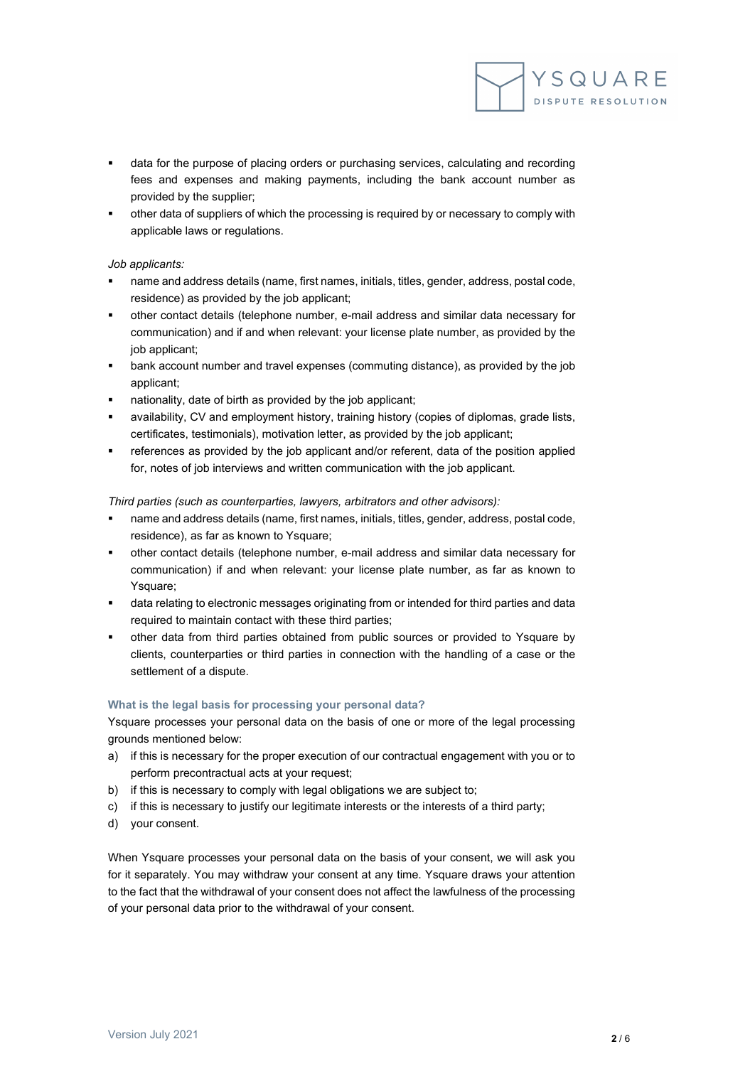

- data for the purpose of placing orders or purchasing services, calculating and recording fees and expenses and making payments, including the bank account number as provided by the supplier;
- other data of suppliers of which the processing is required by or necessary to comply with applicable laws or regulations.

# *Job applicants:*

- name and address details (name, first names, initials, titles, gender, address, postal code, residence) as provided by the job applicant;
- other contact details (telephone number, e-mail address and similar data necessary for communication) and if and when relevant: your license plate number, as provided by the job applicant;
- bank account number and travel expenses (commuting distance), as provided by the job applicant;
- nationality, date of birth as provided by the job applicant;
- availability, CV and employment history, training history (copies of diplomas, grade lists, certificates, testimonials), motivation letter, as provided by the job applicant;
- references as provided by the job applicant and/or referent, data of the position applied for, notes of job interviews and written communication with the job applicant.

# *Third parties (such as counterparties, lawyers, arbitrators and other advisors):*

- name and address details (name, first names, initials, titles, gender, address, postal code, residence), as far as known to Ysquare;
- other contact details (telephone number, e-mail address and similar data necessary for communication) if and when relevant: your license plate number, as far as known to Ysquare;
- data relating to electronic messages originating from or intended for third parties and data required to maintain contact with these third parties;
- other data from third parties obtained from public sources or provided to Ysquare by clients, counterparties or third parties in connection with the handling of a case or the settlement of a dispute.

# **What is the legal basis for processing your personal data?**

Ysquare processes your personal data on the basis of one or more of the legal processing grounds mentioned below:

- a) if this is necessary for the proper execution of our contractual engagement with you or to perform precontractual acts at your request;
- b) if this is necessary to comply with legal obligations we are subject to;
- c) if this is necessary to justify our legitimate interests or the interests of a third party;
- d) your consent.

When Ysquare processes your personal data on the basis of your consent, we will ask you for it separately. You may withdraw your consent at any time. Ysquare draws your attention to the fact that the withdrawal of your consent does not affect the lawfulness of the processing of your personal data prior to the withdrawal of your consent.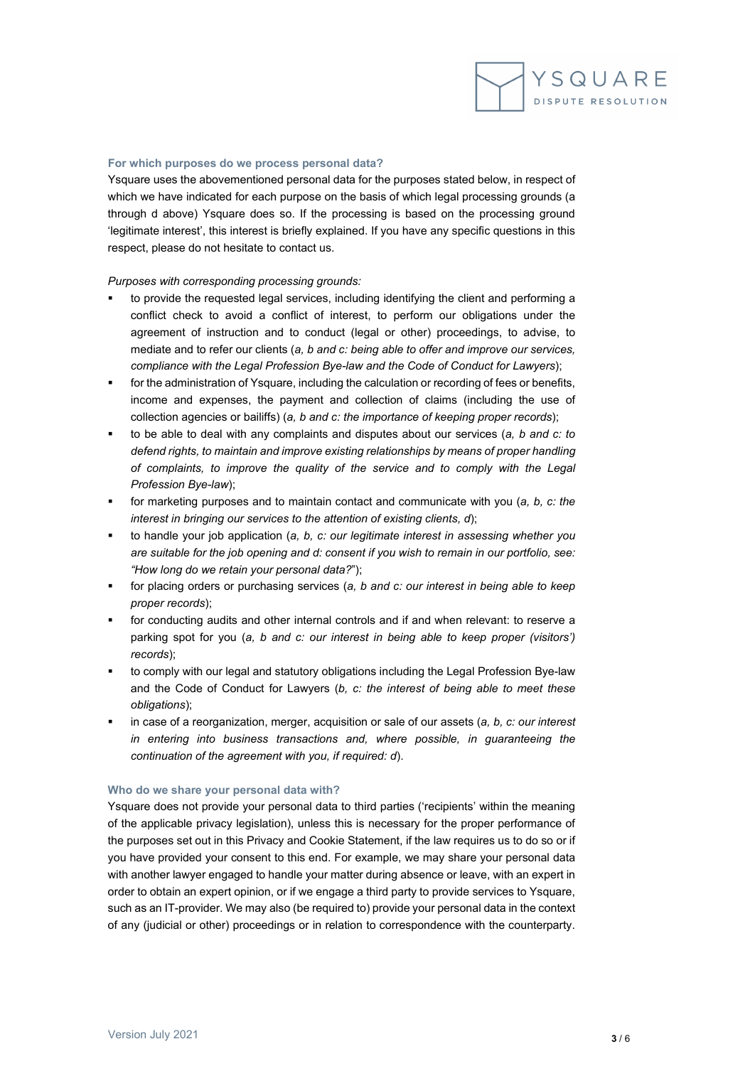

#### **For which purposes do we process personal data?**

Ysquare uses the abovementioned personal data for the purposes stated below, in respect of which we have indicated for each purpose on the basis of which legal processing grounds (a through d above) Ysquare does so. If the processing is based on the processing ground 'legitimate interest', this interest is briefly explained. If you have any specific questions in this respect, please do not hesitate to contact us.

## *Purposes with corresponding processing grounds:*

- to provide the requested legal services, including identifying the client and performing a conflict check to avoid a conflict of interest, to perform our obligations under the agreement of instruction and to conduct (legal or other) proceedings, to advise, to mediate and to refer our clients (*a, b and c: being able to offer and improve our services, compliance with the Legal Profession Bye-law and the Code of Conduct for Lawyers*);
- for the administration of Ysquare, including the calculation or recording of fees or benefits, income and expenses, the payment and collection of claims (including the use of collection agencies or bailiffs) (*a, b and c: the importance of keeping proper records*);
- to be able to deal with any complaints and disputes about our services (*a, b and c: to defend rights, to maintain and improve existing relationships by means of proper handling of complaints, to improve the quality of the service and to comply with the Legal Profession Bye-law*);
- for marketing purposes and to maintain contact and communicate with you (*a, b, c: the interest in bringing our services to the attention of existing clients, d*);
- to handle your job application (*a, b, c: our legitimate interest in assessing whether you are suitable for the job opening and d: consent if you wish to remain in our portfolio, see: "How long do we retain your personal data?*");
- for placing orders or purchasing services (*a, b and c: our interest in being able to keep proper records*);
- for conducting audits and other internal controls and if and when relevant: to reserve a parking spot for you (*a, b and c: our interest in being able to keep proper (visitors') records*);
- to comply with our legal and statutory obligations including the Legal Profession Bye-law and the Code of Conduct for Lawyers (*b, c: the interest of being able to meet these obligations*);
- in case of a reorganization, merger, acquisition or sale of our assets (*a, b, c: our interest in entering into business transactions and, where possible, in guaranteeing the continuation of the agreement with you, if required: d*).

## **Who do we share your personal data with?**

Ysquare does not provide your personal data to third parties ('recipients' within the meaning of the applicable privacy legislation), unless this is necessary for the proper performance of the purposes set out in this Privacy and Cookie Statement, if the law requires us to do so or if you have provided your consent to this end. For example, we may share your personal data with another lawyer engaged to handle your matter during absence or leave, with an expert in order to obtain an expert opinion, or if we engage a third party to provide services to Ysquare, such as an IT-provider. We may also (be required to) provide your personal data in the context of any (judicial or other) proceedings or in relation to correspondence with the counterparty.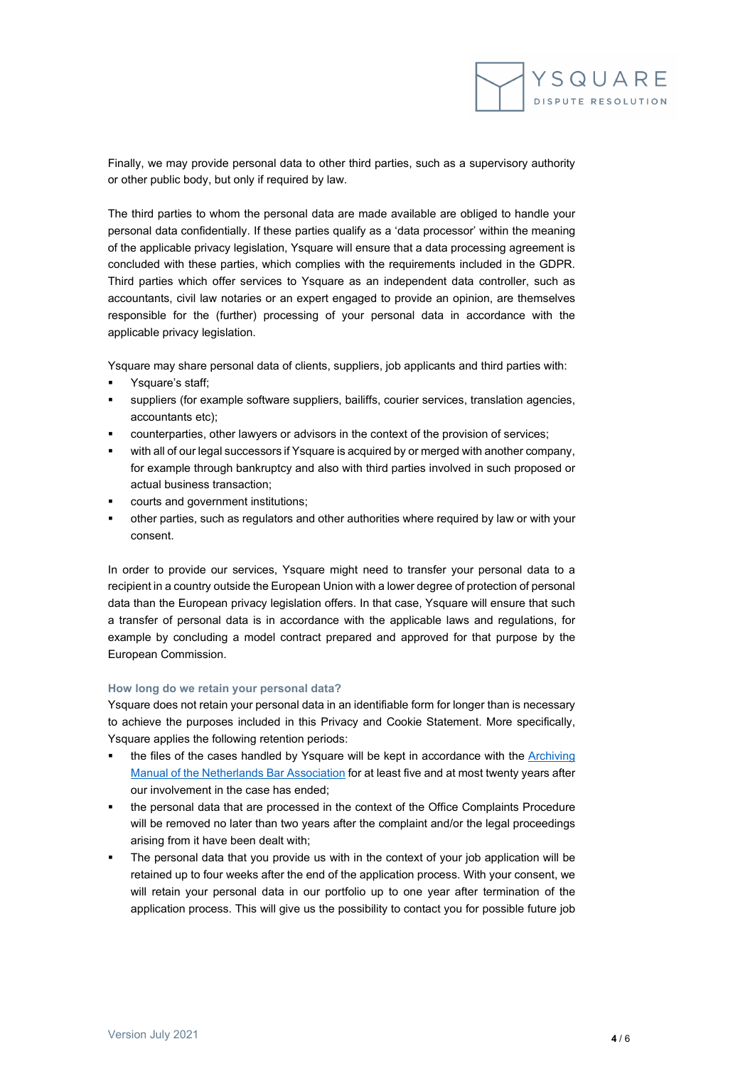

Finally, we may provide personal data to other third parties, such as a supervisory authority or other public body, but only if required by law.

The third parties to whom the personal data are made available are obliged to handle your personal data confidentially. If these parties qualify as a 'data processor' within the meaning of the applicable privacy legislation, Ysquare will ensure that a data processing agreement is concluded with these parties, which complies with the requirements included in the GDPR. Third parties which offer services to Ysquare as an independent data controller, such as accountants, civil law notaries or an expert engaged to provide an opinion, are themselves responsible for the (further) processing of your personal data in accordance with the applicable privacy legislation.

Ysquare may share personal data of clients, suppliers, job applicants and third parties with:

- Ysquare's staff;
- suppliers (for example software suppliers, bailiffs, courier services, translation agencies, accountants etc);
- counterparties, other lawyers or advisors in the context of the provision of services;
- with all of our legal successors if Ysquare is acquired by or merged with another company, for example through bankruptcy and also with third parties involved in such proposed or actual business transaction;
- courts and government institutions;
- other parties, such as regulators and other authorities where required by law or with your consent.

In order to provide our services, Ysquare might need to transfer your personal data to a recipient in a country outside the European Union with a lower degree of protection of personal data than the European privacy legislation offers. In that case, Ysquare will ensure that such a transfer of personal data is in accordance with the applicable laws and regulations, for example by concluding a model contract prepared and approved for that purpose by the European Commission.

## **How long do we retain your personal data?**

Ysquare does not retain your personal data in an identifiable form for longer than is necessary to achieve the purposes included in this Privacy and Cookie Statement. More specifically, Ysquare applies the following retention periods:

- the files of the cases handled by Ysquare will be kept in accordance with the Archiving [Manual of the Netherlands Bar Association](https://www.advocatenorde.nl/voor-uw-praktijk/modellen-handleidingen-formulieren/archiveringhttps:/www.advocatenorde.nl/voor-uw-praktijk/modellen-handleidingen-formulieren/archiveringhttps:/www.advocatenorde.nl/voor-uw-praktijk/modellen-handleidingen-formulieren/archiveringhttps:/www.advocatenorde.nl/voor-uw-praktijk/modellen-handleidingen-formulieren/archivering) for at least five and at most twenty years after our involvement in the case has ended;
- the personal data that are processed in the context of the Office Complaints Procedure will be removed no later than two years after the complaint and/or the legal proceedings arising from it have been dealt with;
- The personal data that you provide us with in the context of your job application will be retained up to four weeks after the end of the application process. With your consent, we will retain your personal data in our portfolio up to one year after termination of the application process. This will give us the possibility to contact you for possible future job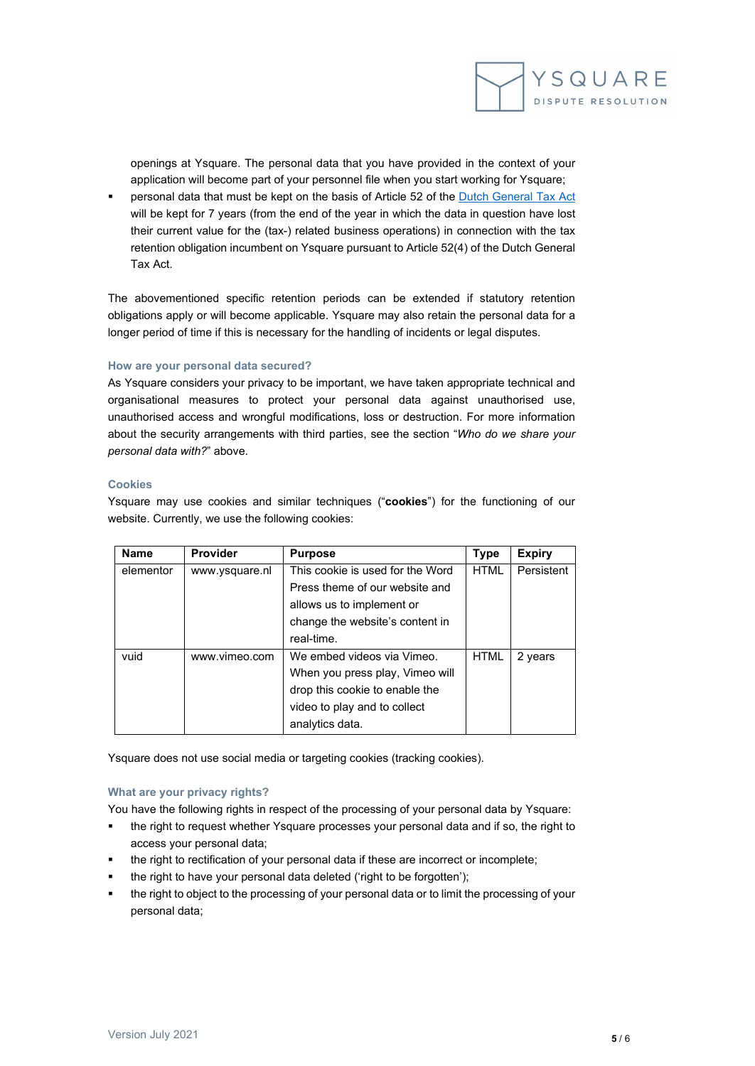

openings at Ysquare. The personal data that you have provided in the context of your application will become part of your personnel file when you start working for Ysquare;

 personal data that must be kept on the basis of Article 52 of th[e Dutch General](https://wetten.overheid.nl/BWBR0002320/2020-01-01) Tax Act will be kept for 7 years (from the end of the year in which the data in question have lost their current value for the (tax-) related business operations) in connection with the tax retention obligation incumbent on Ysquare pursuant to Article 52(4) of the Dutch General Tax Act.

The abovementioned specific retention periods can be extended if statutory retention obligations apply or will become applicable. Ysquare may also retain the personal data for a longer period of time if this is necessary for the handling of incidents or legal disputes.

## **How are your personal data secured?**

As Ysquare considers your privacy to be important, we have taken appropriate technical and organisational measures to protect your personal data against unauthorised use, unauthorised access and wrongful modifications, loss or destruction. For more information about the security arrangements with third parties, see the section "*Who do we share your personal data with?*" above.

# **Cookies**

Ysquare may use cookies and similar techniques ("**cookies**") for the functioning of our website. Currently, we use the following cookies:

| <b>Name</b> | <b>Provider</b> | <b>Purpose</b>                   | <b>Type</b> | <b>Expiry</b> |
|-------------|-----------------|----------------------------------|-------------|---------------|
| elementor   | www.ysquare.nl  | This cookie is used for the Word | <b>HTML</b> | Persistent    |
|             |                 | Press theme of our website and   |             |               |
|             |                 | allows us to implement or        |             |               |
|             |                 | change the website's content in  |             |               |
|             |                 | real-time.                       |             |               |
| vuid        | www.vimeo.com   | We embed videos via Vimeo.       | <b>HTML</b> | 2 years       |
|             |                 | When you press play, Vimeo will  |             |               |
|             |                 | drop this cookie to enable the   |             |               |
|             |                 | video to play and to collect     |             |               |
|             |                 | analytics data.                  |             |               |

Ysquare does not use social media or targeting cookies (tracking cookies).

# **What are your privacy rights?**

You have the following rights in respect of the processing of your personal data by Ysquare:

- the right to request whether Ysquare processes your personal data and if so, the right to access your personal data;
- the right to rectification of your personal data if these are incorrect or incomplete;
- the right to have your personal data deleted ('right to be forgotten');
- the right to object to the processing of your personal data or to limit the processing of your personal data;